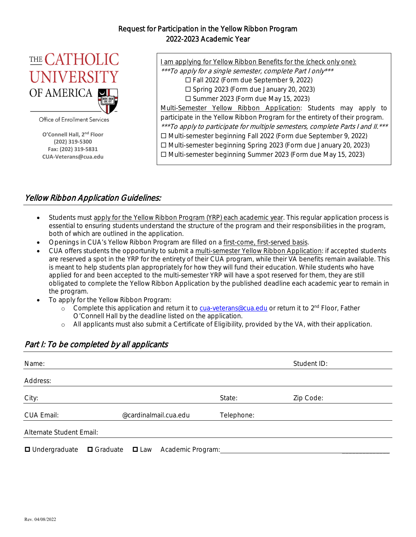#### Request for Participation in the Yellow Ribbon Program 2022-2023 Academic Year



Office of Enrollment Services

**O'Connell Hall, 2nd Floor (202) 319‐5300 Fax: (202) 319‐5831 CUA‐Veterans@cua.edu** I am applying for Yellow Ribbon Benefits for the (check only one):

\*\*\*To apply for a single semester, complete Part I only\*\*\*

Fall 2022 (Form due September 9, 2022)

 $\square$  Spring 2023 (Form due January 20, 2023)

 $\square$  Summer 2023 (Form due May 15, 2023)

Multi-Semester Yellow Ribbon Application: Students may apply to participate in the Yellow Ribbon Program for the entirety of their program. \*\*\*To apply to participate for multiple semesters, complete Parts I and II. \*\*\* Multi-semester beginning Fall 2022 (Form due September 9, 2022)

Multi-semester beginning Spring 2023 (Form due January 20, 2023)

□ Multi-semester beginning Summer 2023 (Form due May 15, 2023)

### Yellow Ribbon Application Guidelines:

- Students must apply for the Yellow Ribbon Program (YRP) each academic year. This regular application process is essential to ensuring students understand the structure of the program and their responsibilities in the program, both of which are outlined in the application.
- Openings in CUA's Yellow Ribbon Program are filled on a first-come, first-served basis.
- CUA offers students the opportunity to submit a multi-semester Yellow Ribbon Application: if accepted students are reserved a spot in the YRP for the entirety of their CUA program, while their VA benefits remain available. This is meant to help students plan appropriately for how they will fund their education. While students who have applied for and been accepted to the multi-semester YRP will have a spot reserved for them, they are still obligated to complete the Yellow Ribbon Application by the published deadline each academic year to remain in the program.
- To apply for the Yellow Ribbon Program:
	- o Complete this application and return it to cua-veterans@cua.edu or return it to 2<sup>nd</sup> Floor, Father O'Connell Hall by the deadline listed on the application.
	- o All applicants must also submit a Certificate of Eligibility, provided by the VA, with their application.

# Name: Student ID: Student ID: Student ID: Student ID: Student ID: Student ID: Student ID: Student ID: Student ID: Student ID: Student ID: Student ID: Student ID: Student ID: Student ID: Student ID: Student ID: Student ID: Address: City: State: Zip Code: CUA Email: @cardinalmail.cua.edu Telephone: Alternate Student Email:  $\Box$  Undergraduate  $\Box$  Graduate  $\Box$  Law Academic Program:

#### Part I: To be completed by all applicants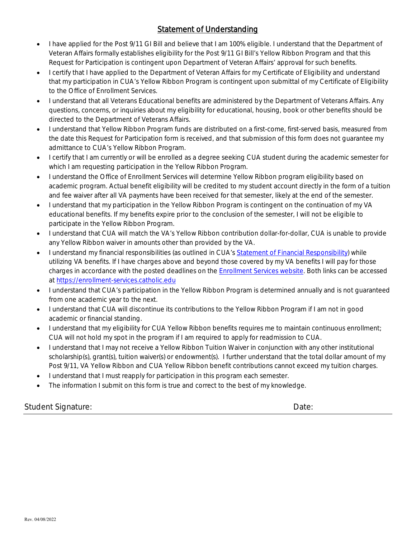# Statement of Understanding

- I have applied for the Post 9/11 GI Bill and believe that I am 100% eligible. I understand that the Department of Veteran Affairs formally establishes eligibility for the Post 9/11 GI Bill's Yellow Ribbon Program and that this Request for Participation is contingent upon Department of Veteran Affairs' approval for such benefits.
- I certify that I have applied to the Department of Veteran Affairs for my Certificate of Eligibility and understand that my participation in CUA's Yellow Ribbon Program is contingent upon submittal of my Certificate of Eligibility to the Office of Enrollment Services.
- I understand that all Veterans Educational benefits are administered by the Department of Veterans Affairs. Any questions, concerns, or inquiries about my eligibility for educational, housing, book or other benefits should be directed to the Department of Veterans Affairs.
- I understand that Yellow Ribbon Program funds are distributed on a first-come, first-served basis, measured from the date this Request for Participation form is received, and that submission of this form does not guarantee my admittance to CUA's Yellow Ribbon Program.
- I certify that I am currently or will be enrolled as a degree seeking CUA student during the academic semester for which I am requesting participation in the Yellow Ribbon Program.
- I understand the Office of Enrollment Services will determine Yellow Ribbon program eligibility based on academic program. Actual benefit eligibility will be credited to my student account directly in the form of a tuition and fee waiver after all VA payments have been received for that semester, likely at the end of the semester.
- I understand that my participation in the Yellow Ribbon Program is contingent on the continuation of my VA educational benefits. If my benefits expire prior to the conclusion of the semester, I will not be eligible to participate in the Yellow Ribbon Program.
- I understand that CUA will match the VA's Yellow Ribbon contribution dollar-for-dollar, CUA is unable to provide any Yellow Ribbon waiver in amounts other than provided by the VA.
- I understand my financial responsibilities (as outlined in CUA's Statement of Financial Responsibility) while utilizing VA benefits. If I have charges above and beyond those covered by my VA benefits I will pay for those charges in accordance with the posted deadlines on the Enrollment Services website. Both links can be accessed at https://enrollment-services.catholic.edu
- I understand that CUA's participation in the Yellow Ribbon Program is determined annually and is not guaranteed from one academic year to the next.
- I understand that CUA will discontinue its contributions to the Yellow Ribbon Program if I am not in good academic or financial standing.
- I understand that my eligibility for CUA Yellow Ribbon benefits requires me to maintain continuous enrollment; CUA will not hold my spot in the program if I am required to apply for readmission to CUA.
- I understand that I may not receive a Yellow Ribbon Tuition Waiver in conjunction with any other institutional scholarship(s), grant(s), tuition waiver(s) or endowment(s). I further understand that the total dollar amount of my Post 9/11, VA Yellow Ribbon and CUA Yellow Ribbon benefit contributions cannot exceed my tuition charges.
- **I** understand that I must reapply for participation in this program each semester.
- The information I submit on this form is true and correct to the best of my knowledge.

Student Signature: Date: Date: Date: Date: Date: Date: Date: Date: Date: Date: Date: Date: Date: Date: Date: Date: Date: Date: Date: Date: Date: Date: Date: Date: Date: Date: Date: Date: Date: Date: Date: Date: Date: Date: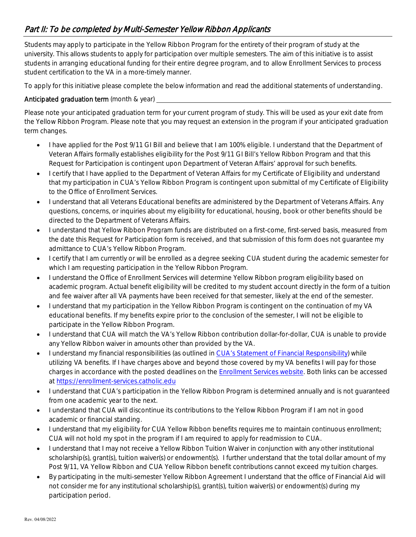# Part II: To be completed by Multi-Semester Yellow Ribbon Applicants

Students may apply to participate in the Yellow Ribbon Program for the entirety of their program of study at the university. This allows students to apply for participation over multiple semesters. The aim of this initiative is to assist students in arranging educational funding for their entire degree program, and to allow Enrollment Services to process student certification to the VA in a more-timely manner.

To apply for this initiative please complete the below information and read the additional statements of understanding.

#### Anticipated graduation term (month & year) \_\_

Please note your anticipated graduation term for your current program of study. This will be used as your exit date from the Yellow Ribbon Program. Please note that you may request an extension in the program if your anticipated graduation term changes.

- I have applied for the Post 9/11 GI Bill and believe that I am 100% eligible. I understand that the Department of Veteran Affairs formally establishes eligibility for the Post 9/11 GI Bill's Yellow Ribbon Program and that this Request for Participation is contingent upon Department of Veteran Affairs' approval for such benefits.
- I certify that I have applied to the Department of Veteran Affairs for my Certificate of Eligibility and understand that my participation in CUA's Yellow Ribbon Program is contingent upon submittal of my Certificate of Eligibility to the Office of Enrollment Services.
- I understand that all Veterans Educational benefits are administered by the Department of Veterans Affairs. Any questions, concerns, or inquiries about my eligibility for educational, housing, book or other benefits should be directed to the Department of Veterans Affairs.
- I understand that Yellow Ribbon Program funds are distributed on a first-come, first-served basis, measured from the date this Request for Participation form is received, and that submission of this form does not guarantee my admittance to CUA's Yellow Ribbon Program.
- I certify that I am currently or will be enrolled as a degree seeking CUA student during the academic semester for which I am requesting participation in the Yellow Ribbon Program.
- I understand the Office of Enrollment Services will determine Yellow Ribbon program eligibility based on academic program. Actual benefit eligibility will be credited to my student account directly in the form of a tuition and fee waiver after all VA payments have been received for that semester, likely at the end of the semester.
- I understand that my participation in the Yellow Ribbon Program is contingent on the continuation of my VA educational benefits. If my benefits expire prior to the conclusion of the semester, I will not be eligible to participate in the Yellow Ribbon Program.
- I understand that CUA will match the VA's Yellow Ribbon contribution dollar-for-dollar, CUA is unable to provide any Yellow Ribbon waiver in amounts other than provided by the VA.
- I understand my financial responsibilities (as outlined in CUA's Statement of Financial Responsibility) while utilizing VA benefits. If I have charges above and beyond those covered by my VA benefits I will pay for those charges in accordance with the posted deadlines on the Enrollment Services website. Both links can be accessed at https://enrollment-services.catholic.edu
- I understand that CUA's participation in the Yellow Ribbon Program is determined annually and is not guaranteed from one academic year to the next.
- I understand that CUA will discontinue its contributions to the Yellow Ribbon Program if I am not in good academic or financial standing.
- I understand that my eligibility for CUA Yellow Ribbon benefits requires me to maintain continuous enrollment; CUA will not hold my spot in the program if I am required to apply for readmission to CUA.
- I understand that I may not receive a Yellow Ribbon Tuition Waiver in conjunction with any other institutional scholarship(s), grant(s), tuition waiver(s) or endowment(s). I further understand that the total dollar amount of my Post 9/11, VA Yellow Ribbon and CUA Yellow Ribbon benefit contributions cannot exceed my tuition charges.
- By participating in the multi-semester Yellow Ribbon Agreement I understand that the office of Financial Aid will not consider me for any institutional scholarship(s), grant(s), tuition waiver(s) or endowment(s) during my participation period.